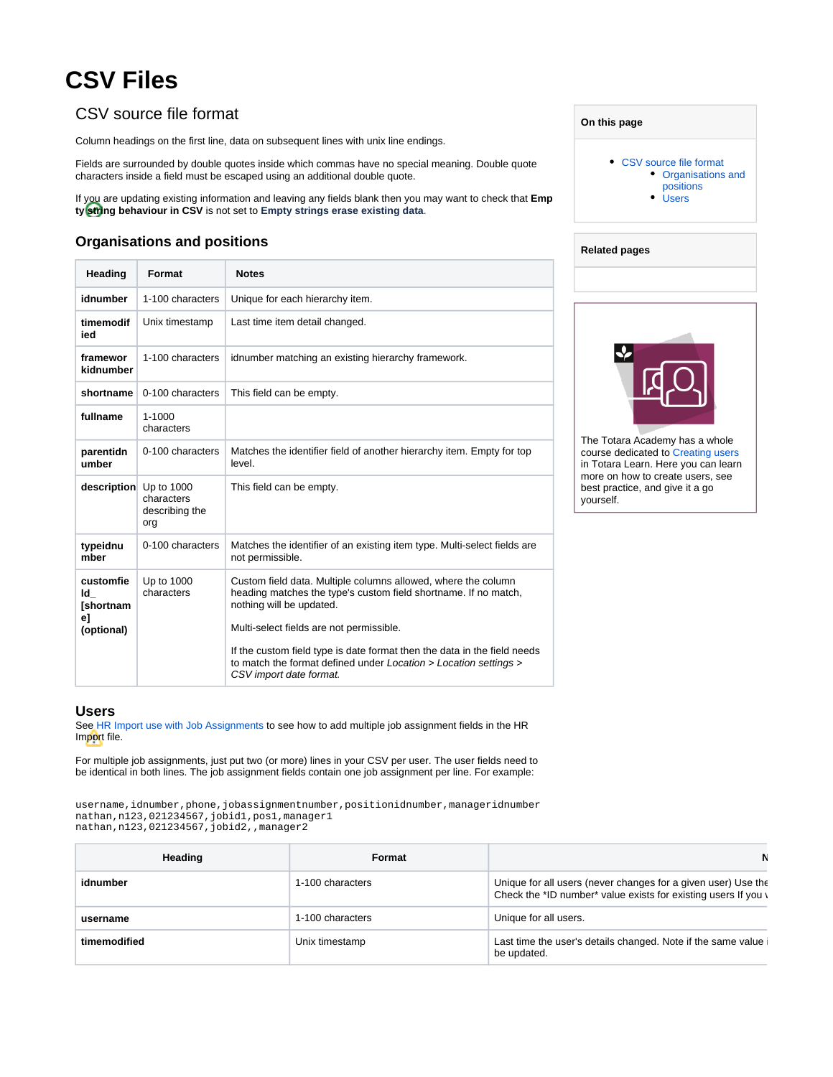## **CSV Files**

## <span id="page-0-0"></span>CSV source file format

Column headings on the first line, data on subsequent lines with unix line endings.

Fields are surrounded by double quotes inside which commas have no special meaning. Double quote characters inside a field must be escaped using an additional double quote.

If you are updating existing information and leaving any fields blank then you may want to check that **Emp ty string behaviour in CSV** is not set to **Empty strings erase existing data**.

## <span id="page-0-1"></span>**Organisations and positions**

| Heading                              | Format                              | <b>Notes</b>                                                                                                                                                            |
|--------------------------------------|-------------------------------------|-------------------------------------------------------------------------------------------------------------------------------------------------------------------------|
| idnumber                             | 1-100 characters                    | Unique for each hierarchy item.                                                                                                                                         |
| timemodif<br>ied                     | Unix timestamp                      | Last time item detail changed.                                                                                                                                          |
| framewor<br>kidnumber                | 1-100 characters                    | idnumber matching an existing hierarchy framework.                                                                                                                      |
| shortname                            | 0-100 characters                    | This field can be empty.                                                                                                                                                |
| fullname                             | $1 - 1000$<br>characters            |                                                                                                                                                                         |
| parentidn<br>umber                   | 0-100 characters                    | Matches the identifier field of another hierarchy item. Empty for top<br>level.                                                                                         |
| description Up to 1000               | characters<br>describing the<br>org | This field can be empty.                                                                                                                                                |
| typeidnu<br>mber                     | 0-100 characters                    | Matches the identifier of an existing item type. Multi-select fields are<br>not permissible.                                                                            |
| customfie<br>ld I<br>[shortnam<br>el | Up to 1000<br>characters            | Custom field data. Multiple columns allowed, where the column<br>heading matches the type's custom field shortname. If no match,<br>nothing will be updated.            |
| (optional)                           |                                     | Multi-select fields are not permissible.                                                                                                                                |
|                                      |                                     | If the custom field type is date format then the data in the field needs<br>to match the format defined under Location > Location settings ><br>CSV import date format. |

## <span id="page-0-2"></span>**Users**

See [HR Import use with Job Assignments](https://help.totaralearning.com/display/TL9/Upgrading+and+Using+Job+Assignments) to see how to add multiple job assignment fields in the HR Import file.

For multiple job assignments, just put two (or more) lines in your CSV per user. The user fields need to be identical in both lines. The job assignment fields contain one job assignment per line. For example:

username, idnumber, phone, jobassignmentnumber, positionidnumber, manageridnumber nathan,n123,021234567,jobid1,pos1,manager1 nathan,n123,021234567,jobid2,,manager2

| Heading      | Format           |                                                                                                                                 |
|--------------|------------------|---------------------------------------------------------------------------------------------------------------------------------|
| idnumber     | 1-100 characters | Unique for all users (never changes for a given user) Use the<br>Check the *ID number* value exists for existing users If you \ |
| username     | 1-100 characters | Unique for all users.                                                                                                           |
| timemodified | Unix timestamp   | Last time the user's details changed. Note if the same value<br>be updated.                                                     |

| On this page |  |  |
|--------------|--|--|
|              |  |  |

- [CSV source file format](#page-0-0) [Organisations and](#page-0-1)  [positions](#page-0-1)
	- [Users](#page-0-2)



The Totara Academy has a whole course dedicated to [Creating users](https://totara.community/course/view.php?id=140) in Totara Learn. Here you can learn more on how to create users, see best practice, and give it a go yourself.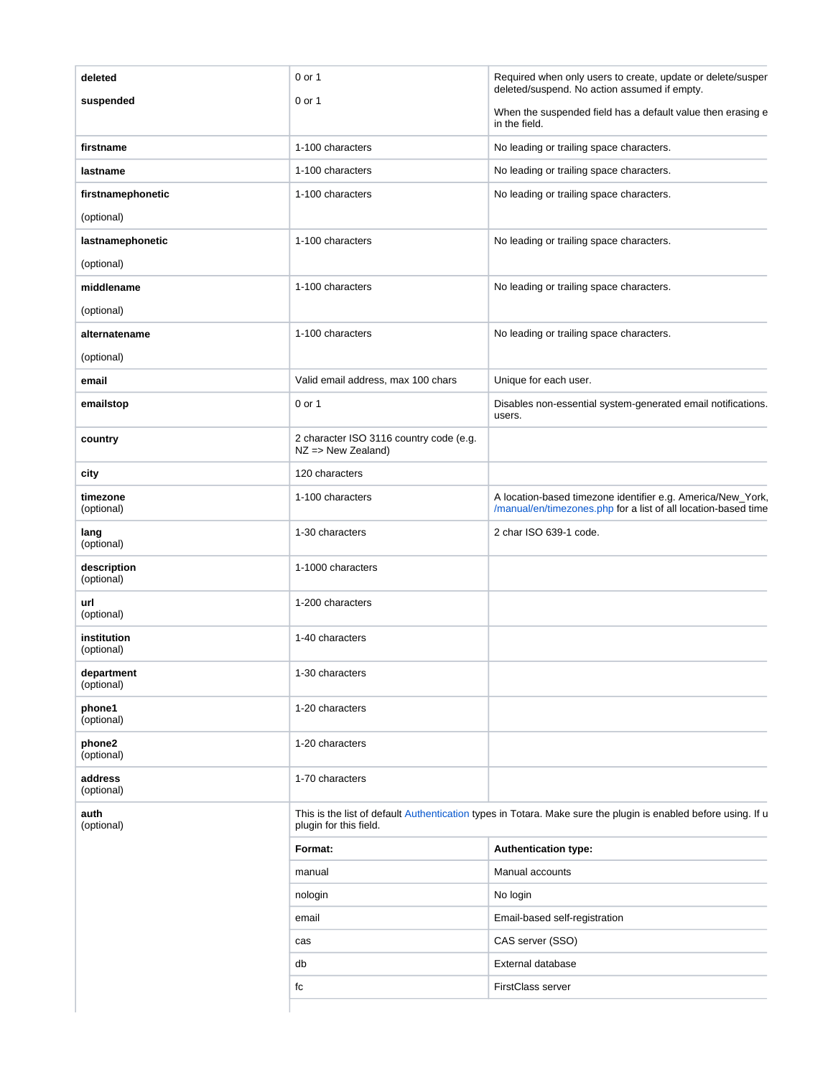| deleted                   | 0 or 1                                                                                                                                   | Required when only users to create, update or delete/susper<br>deleted/suspend. No action assumed if empty.                   |
|---------------------------|------------------------------------------------------------------------------------------------------------------------------------------|-------------------------------------------------------------------------------------------------------------------------------|
| suspended                 | 0 or 1                                                                                                                                   | When the suspended field has a default value then erasing e<br>in the field.                                                  |
| firstname                 | 1-100 characters                                                                                                                         | No leading or trailing space characters.                                                                                      |
| lastname                  | 1-100 characters                                                                                                                         | No leading or trailing space characters.                                                                                      |
| firstnamephonetic         | 1-100 characters                                                                                                                         | No leading or trailing space characters.                                                                                      |
| (optional)                |                                                                                                                                          |                                                                                                                               |
| lastnamephonetic          | 1-100 characters                                                                                                                         | No leading or trailing space characters.                                                                                      |
| (optional)                |                                                                                                                                          |                                                                                                                               |
| middlename                | 1-100 characters                                                                                                                         | No leading or trailing space characters.                                                                                      |
| (optional)                |                                                                                                                                          |                                                                                                                               |
| alternatename             | 1-100 characters                                                                                                                         | No leading or trailing space characters.                                                                                      |
| (optional)                |                                                                                                                                          |                                                                                                                               |
| email                     | Valid email address, max 100 chars                                                                                                       | Unique for each user.                                                                                                         |
| emailstop                 | 0 or 1                                                                                                                                   | Disables non-essential system-generated email notifications.<br>users.                                                        |
| country                   | 2 character ISO 3116 country code (e.g.<br>$NZ \Rightarrow New Zealand)$                                                                 |                                                                                                                               |
| city                      | 120 characters                                                                                                                           |                                                                                                                               |
| timezone<br>(optional)    | 1-100 characters                                                                                                                         | A location-based timezone identifier e.g. America/New_York,<br>/manual/en/timezones.php for a list of all location-based time |
| lang<br>(optional)        | 1-30 characters                                                                                                                          | 2 char ISO 639-1 code.                                                                                                        |
| description<br>(optional) | 1-1000 characters                                                                                                                        |                                                                                                                               |
| url<br>(optional)         | 1-200 characters                                                                                                                         |                                                                                                                               |
| institution<br>(optional) | 1-40 characters                                                                                                                          |                                                                                                                               |
| department<br>(optional)  | 1-30 characters                                                                                                                          |                                                                                                                               |
| phone1<br>(optional)      | 1-20 characters                                                                                                                          |                                                                                                                               |
| phone2<br>(optional)      | 1-20 characters                                                                                                                          |                                                                                                                               |
| address<br>(optional)     | 1-70 characters                                                                                                                          |                                                                                                                               |
| auth<br>(optional)        | This is the list of default Authentication types in Totara. Make sure the plugin is enabled before using. If u<br>plugin for this field. |                                                                                                                               |
|                           | Format:                                                                                                                                  | <b>Authentication type:</b>                                                                                                   |
|                           | manual                                                                                                                                   | Manual accounts                                                                                                               |
|                           | nologin                                                                                                                                  | No login                                                                                                                      |
|                           | email                                                                                                                                    | Email-based self-registration                                                                                                 |
|                           | cas                                                                                                                                      | CAS server (SSO)                                                                                                              |
|                           | db                                                                                                                                       | External database                                                                                                             |
|                           | fc                                                                                                                                       | FirstClass server                                                                                                             |